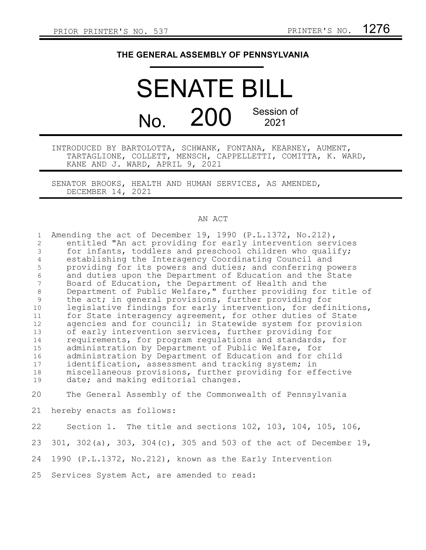## **THE GENERAL ASSEMBLY OF PENNSYLVANIA**

## SENATE BILL No. 200 Session of 2021

INTRODUCED BY BARTOLOTTA, SCHWANK, FONTANA, KEARNEY, AUMENT, TARTAGLIONE, COLLETT, MENSCH, CAPPELLETTI, COMITTA, K. WARD, KANE AND J. WARD, APRIL 9, 2021

SENATOR BROOKS, HEALTH AND HUMAN SERVICES, AS AMENDED, DECEMBER 14, 2021

## AN ACT

Amending the act of December 19, 1990 (P.L.1372, No.212), entitled "An act providing for early intervention services for infants, toddlers and preschool children who qualify; establishing the Interagency Coordinating Council and providing for its powers and duties; and conferring powers and duties upon the Department of Education and the State Board of Education, the Department of Health and the Department of Public Welfare," further providing for title of the act; in general provisions, further providing for legislative findings for early intervention, for definitions, for State interagency agreement, for other duties of State agencies and for council; in Statewide system for provision of early intervention services, further providing for requirements, for program regulations and standards, for administration by Department of Public Welfare, for administration by Department of Education and for child identification, assessment and tracking system; in miscellaneous provisions, further providing for effective date; and making editorial changes. The General Assembly of the Commonwealth of Pennsylvania 1 2 3 4 5 6 7 8 9 10 11 12 13 14 15 16 17 18 19 20

hereby enacts as follows: 21

Section 1. The title and sections 102, 103, 104, 105, 106, 22

301, 302(a), 303, 304(c), 305 and 503 of the act of December 19, 23

1990 (P.L.1372, No.212), known as the Early Intervention 24

Services System Act, are amended to read: 25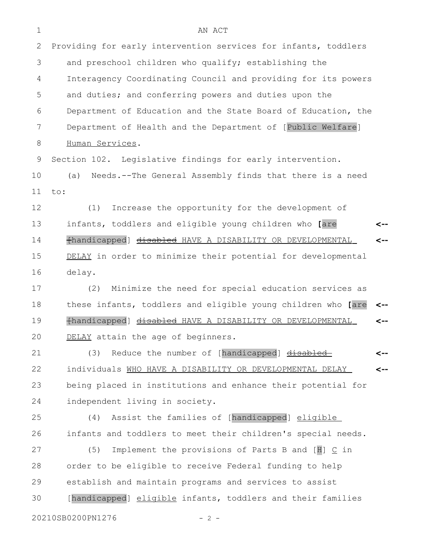| 1  | AN ACT                                                            |     |
|----|-------------------------------------------------------------------|-----|
| 2  | Providing for early intervention services for infants, toddlers   |     |
| 3  | and preschool children who qualify; establishing the              |     |
| 4  | Interagency Coordinating Council and providing for its powers     |     |
| 5  | and duties; and conferring powers and duties upon the             |     |
| 6  | Department of Education and the State Board of Education, the     |     |
| 7  | Department of Health and the Department of [Public Welfare]       |     |
| 8  | Human Services.                                                   |     |
| 9  | Section 102. Legislative findings for early intervention.         |     |
| 10 | Needs.--The General Assembly finds that there is a need<br>(a)    |     |
| 11 | to:                                                               |     |
| 12 | Increase the opportunity for the development of<br>(1)            |     |
| 13 | infants, toddlers and eligible young children who [are            | <-- |
| 14 | fhandicapped] <u>disabled</u> HAVE A DISABILITY OR DEVELOPMENTAL  |     |
| 15 | DELAY in order to minimize their potential for developmental      |     |
| 16 | delay.                                                            |     |
| 17 | Minimize the need for special education services as<br>(2)        |     |
| 18 | these infants, toddlers and eligible young children who [are      |     |
| 19 | {handicapped] disabled HAVE A DISABILITY OR DEVELOPMENTAL         | <-- |
| 20 | DELAY attain the age of beginners.                                |     |
| 21 | Reduce the number of [handicapped] disabled<br>(3)                | <-- |
| 22 | individuals WHO HAVE A DISABILITY OR DEVELOPMENTAL DELAY          | <-- |
| 23 | being placed in institutions and enhance their potential for      |     |
| 24 | independent living in society.                                    |     |
| 25 | Assist the families of [handicapped] eligible<br>(4)              |     |
| 26 | infants and toddlers to meet their children's special needs.      |     |
| 27 | Implement the provisions of Parts B and $[H] \subseteq$ in<br>(5) |     |
| 28 | order to be eligible to receive Federal funding to help           |     |
| 29 | establish and maintain programs and services to assist            |     |

[handicapped] eligible infants, toddlers and their families 30

20210SB0200PN1276 - 2 -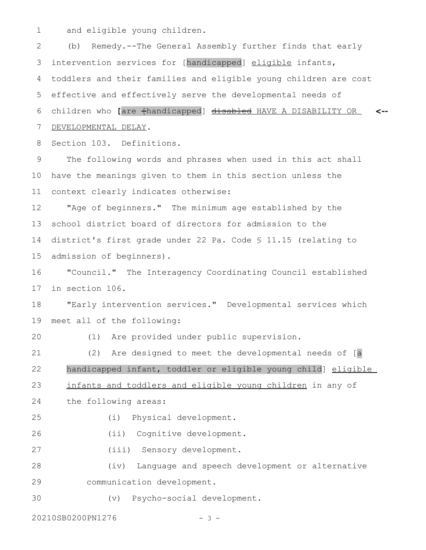and eligible young children. 1

(b) Remedy.--The General Assembly further finds that early intervention services for [handicapped] eligible infants, toddlers and their families and eligible young children are cost effective and effectively serve the developmental needs of children who **[**are [handicapped] disabled HAVE A DISABILITY OR **<--** DEVELOPMENTAL DELAY. 2 3 4 5 6 7

Section 103. Definitions. 8

The following words and phrases when used in this act shall have the meanings given to them in this section unless the context clearly indicates otherwise: 9 10 11

"Age of beginners." The minimum age established by the school district board of directors for admission to the district's first grade under 22 Pa. Code § 11.15 (relating to admission of beginners). 12 13 14 15

"Council." The Interagency Coordinating Council established in section 106. 16 17

"Early intervention services." Developmental services which meet all of the following: 18 19

20

(1) Are provided under public supervision.

(2) Are designed to meet the developmental needs of [a handicapped infant, toddler or eligible young child] eligible infants and toddlers and eligible young children in any of the following areas: 21 22 23 24 25

(i) Physical development.

(ii) Cognitive development. 26

(iii) Sensory development. 27

(iv) Language and speech development or alternative communication development. 28 29

(v) Psycho-social development. 30

20210SB0200PN1276 - 3 -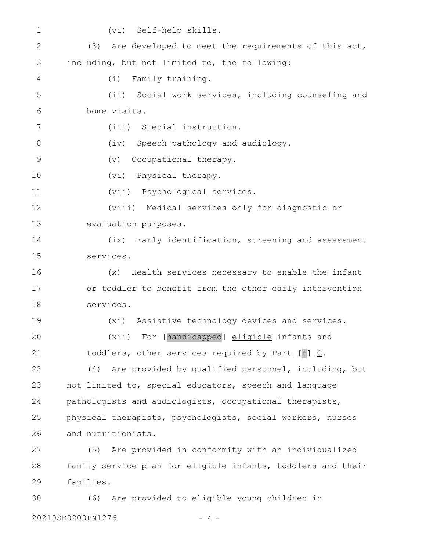| $\mathbf 1$   | (vi) Self-help skills.                                       |
|---------------|--------------------------------------------------------------|
| $\mathbf{2}$  | (3)<br>Are developed to meet the requirements of this act,   |
| 3             | including, but not limited to, the following:                |
| 4             | (i)<br>Family training.                                      |
| 5             | (ii) Social work services, including counseling and          |
| 6             | home visits.                                                 |
| 7             | (iii) Special instruction.                                   |
| 8             | (iv) Speech pathology and audiology.                         |
| $\mathcal{G}$ | Occupational therapy.<br>$(\triangledown)$                   |
| 10            | (vi) Physical therapy.                                       |
| 11            | (vii) Psychological services.                                |
| 12            | (viii) Medical services only for diagnostic or               |
| 13            | evaluation purposes.                                         |
| 14            | Early identification, screening and assessment<br>(ix)       |
| 15            | services.                                                    |
| 16            | Health services necessary to enable the infant<br>(x)        |
| 17            | or toddler to benefit from the other early intervention      |
| 18            | services.                                                    |
| 19            | Assistive technology devices and services.<br>(xi)           |
| 20            | (xii) For [handicapped] eligible infants and                 |
| 21            | toddlers, other services required by Part $[H] \subseteq$ .  |
| 22            | Are provided by qualified personnel, including, but<br>(4)   |
| 23            | not limited to, special educators, speech and language       |
| 24            | pathologists and audiologists, occupational therapists,      |
| 25            | physical therapists, psychologists, social workers, nurses   |
| 26            | and nutritionists.                                           |
| 27            | Are provided in conformity with an individualized<br>(5)     |
| 28            | family service plan for eligible infants, toddlers and their |
| 29            | families.                                                    |
| 30            | Are provided to eligible young children in<br>(6)            |

20210SB0200PN1276 - 4 -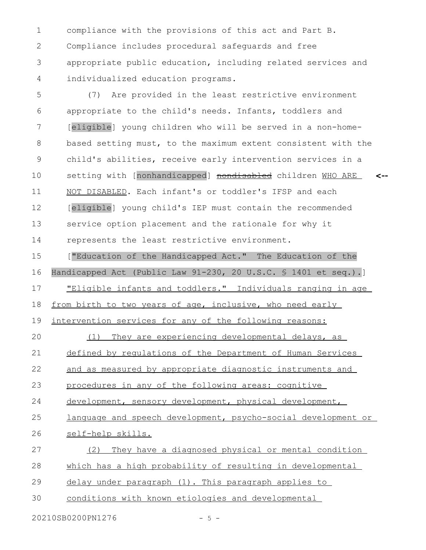compliance with the provisions of this act and Part B. Compliance includes procedural safeguards and free appropriate public education, including related services and individualized education programs. 1 2 3 4

(7) Are provided in the least restrictive environment appropriate to the child's needs. Infants, toddlers and [eligible] young children who will be served in a non-homebased setting must, to the maximum extent consistent with the child's abilities, receive early intervention services in a setting with [nonhandicapped] nondisabled children MHO ARE NOT DISABLED. Each infant's or toddler's IFSP and each [eligible] young child's IEP must contain the recommended service option placement and the rationale for why it represents the least restrictive environment. **<--** 5 6 7 8 9 10 11 12 13 14

["Education of the Handicapped Act." The Education of the Handicapped Act (Public Law 91-230, 20 U.S.C. § 1401 et seq.).] "Eligible infants and toddlers." Individuals ranging in age from birth to two years of age, inclusive, who need early 15 16 17 18

intervention services for any of the following reasons: 19

(1) They are experiencing developmental delays, as defined by regulations of the Department of Human Services and as measured by appropriate diagnostic instruments and procedures in any of the following areas: cognitive 20 21 22 23

development, sensory development, physical development, 24

language and speech development, psycho-social development or 25

self-help skills. 26

(2) They have a diagnosed physical or mental condition 27

which has a high probability of resulting in developmental 28

delay under paragraph (1). This paragraph applies to 29

conditions with known etiologies and developmental 30

20210SB0200PN1276 - 5 -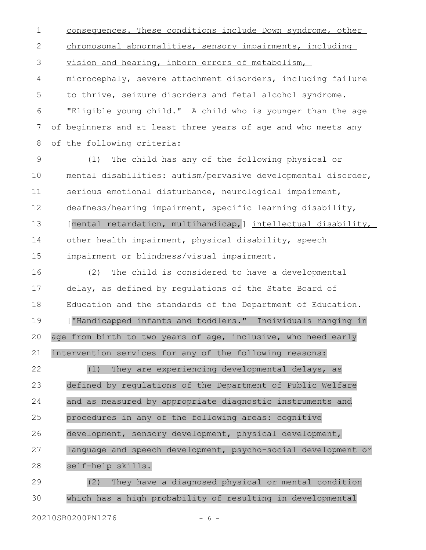consequences. These conditions include Down syndrome, other chromosomal abnormalities, sensory impairments, including vision and hearing, inborn errors of metabolism, microcephaly, severe attachment disorders, including failure to thrive, seizure disorders and fetal alcohol syndrome. "Eligible young child." A child who is younger than the age of beginners and at least three years of age and who meets any 1 2 3 4 5 6 7

of the following criteria: 8

(1) The child has any of the following physical or mental disabilities: autism/pervasive developmental disorder, serious emotional disturbance, neurological impairment, deafness/hearing impairment, specific learning disability, [mental retardation, multihandicap, ] intellectual disability, other health impairment, physical disability, speech impairment or blindness/visual impairment. 9 10 11 12 13 14 15

(2) The child is considered to have a developmental delay, as defined by regulations of the State Board of Education and the standards of the Department of Education. ["Handicapped infants and toddlers." Individuals ranging in age from birth to two years of age, inclusive, who need early intervention services for any of the following reasons: 16 17 18 19 20 21

(1) They are experiencing developmental delays, as defined by regulations of the Department of Public Welfare and as measured by appropriate diagnostic instruments and procedures in any of the following areas: cognitive development, sensory development, physical development, language and speech development, psycho-social development or self-help skills. 22 23 24 25 26 27 28

(2) They have a diagnosed physical or mental condition which has a high probability of resulting in developmental 29 30

20210SB0200PN1276 - 6 -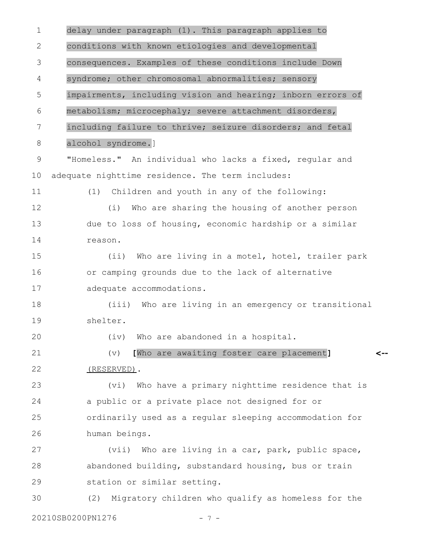delay under paragraph (1). This paragraph applies to conditions with known etiologies and developmental consequences. Examples of these conditions include Down syndrome; other chromosomal abnormalities; sensory impairments, including vision and hearing; inborn errors of metabolism; microcephaly; severe attachment disorders, including failure to thrive; seizure disorders; and fetal alcohol syndrome.] "Homeless." An individual who lacks a fixed, regular and adequate nighttime residence. The term includes: (1) Children and youth in any of the following: (i) Who are sharing the housing of another person due to loss of housing, economic hardship or a similar reason. (ii) Who are living in a motel, hotel, trailer park or camping grounds due to the lack of alternative adequate accommodations. (iii) Who are living in an emergency or transitional shelter. (iv) Who are abandoned in a hospital. (v) **[**Who are awaiting foster care placement**]** (RESERVED). (vi) Who have a primary nighttime residence that is a public or a private place not designed for or ordinarily used as a regular sleeping accommodation for human beings. (vii) Who are living in a car, park, public space, abandoned building, substandard housing, bus or train station or similar setting. (2) Migratory children who qualify as homeless for the 20210SB0200PN1276 - 7 -**<--** 1 2 3 4 5 6 7 8 9 10 11 12 13 14 15 16 17 18 19 20 21 22 23 24 25 26 27 28 29 30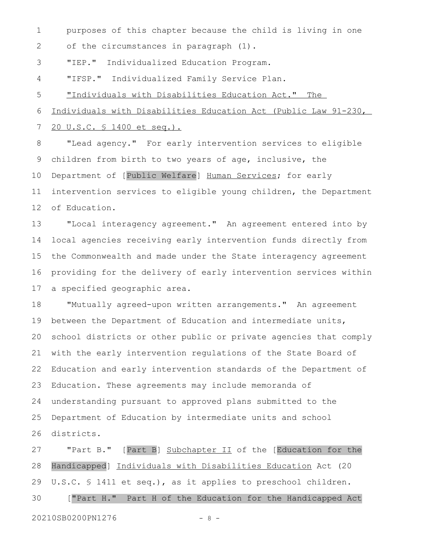purposes of this chapter because the child is living in one 1

of the circumstances in paragraph (1). 2

"IEP." Individualized Education Program. 3

"IFSP." Individualized Family Service Plan. 4

"Individuals with Disabilities Education Act." The 5

Individuals with Disabilities Education Act (Public Law 91-230, 6

20 U.S.C. § 1400 et seq.). 7

"Lead agency." For early intervention services to eligible children from birth to two years of age, inclusive, the Department of [Public Welfare] Human Services; for early intervention services to eligible young children, the Department of Education. 8 9 10 11 12

"Local interagency agreement." An agreement entered into by local agencies receiving early intervention funds directly from the Commonwealth and made under the State interagency agreement providing for the delivery of early intervention services within a specified geographic area. 13 14 15 16 17

"Mutually agreed-upon written arrangements." An agreement between the Department of Education and intermediate units, school districts or other public or private agencies that comply with the early intervention regulations of the State Board of Education and early intervention standards of the Department of Education. These agreements may include memoranda of understanding pursuant to approved plans submitted to the Department of Education by intermediate units and school districts. 18 19 20 21 22 23 24 25 26

"Part B." [Part B] Subchapter II of the [Education for the Handicapped] Individuals with Disabilities Education Act (20 U.S.C. § 1411 et seq.), as it applies to preschool children. ["Part H." Part H of the Education for the Handicapped Act 27 28 29 30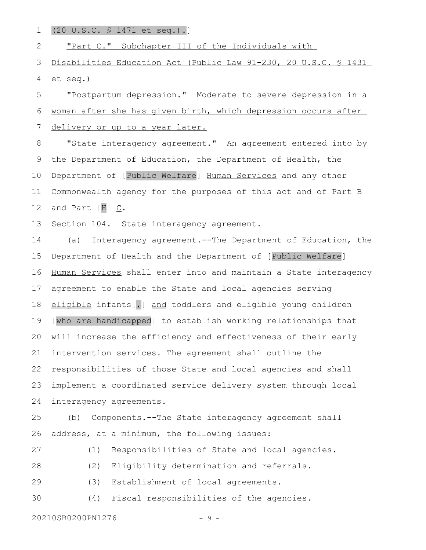(20 U.S.C. § 1471 et seq.).] 1

"Part C." Subchapter III of the Individuals with 2

Disabilities Education Act (Public Law 91-230, 20 U.S.C. § 1431 et seq.) 3 4

"Postpartum depression." Moderate to severe depression in a woman after she has given birth, which depression occurs after delivery or up to a year later. 5 6 7

"State interagency agreement." An agreement entered into by the Department of Education, the Department of Health, the Department of [Public Welfare] Human Services and any other Commonwealth agency for the purposes of this act and of Part B and Part  $[H] \subseteq$ . 8 9 10 11 12

Section 104. State interagency agreement. 13

(a) Interagency agreement.--The Department of Education, the Department of Health and the Department of [Public Welfare] Human Services shall enter into and maintain a State interagency agreement to enable the State and local agencies serving eligible infants[, ] and toddlers and eligible young children [who are handicapped] to establish working relationships that will increase the efficiency and effectiveness of their early intervention services. The agreement shall outline the responsibilities of those State and local agencies and shall implement a coordinated service delivery system through local interagency agreements. 14 15 16 17 18 19 20 21 22 23 24

(b) Components.--The State interagency agreement shall address, at a minimum, the following issues: 25 26

(1) Responsibilities of State and local agencies. 27

(2) Eligibility determination and referrals. 28

(3) Establishment of local agreements. 29

(4) Fiscal responsibilities of the agencies. 30

20210SB0200PN1276 - 9 -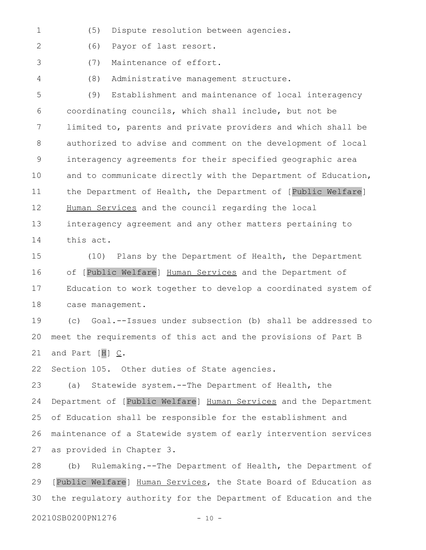- (5) Dispute resolution between agencies. 1
- (6) Payor of last resort. 2
	- (7) Maintenance of effort.
- 4

3

(8) Administrative management structure.

(9) Establishment and maintenance of local interagency coordinating councils, which shall include, but not be limited to, parents and private providers and which shall be authorized to advise and comment on the development of local interagency agreements for their specified geographic area and to communicate directly with the Department of Education, the Department of Health, the Department of [Public Welfare] Human Services and the council regarding the local interagency agreement and any other matters pertaining to 5 6 7 8 9 10 11 12 13

14

this act.

(10) Plans by the Department of Health, the Department of [Public Welfare] Human Services and the Department of Education to work together to develop a coordinated system of case management. 15 16 17 18

(c) Goal.--Issues under subsection (b) shall be addressed to meet the requirements of this act and the provisions of Part B and Part  $[H]$   $C$ . 19 20 21

Section 105. Other duties of State agencies. 22

(a) Statewide system.--The Department of Health, the Department of [Public Welfare] Human Services and the Department of Education shall be responsible for the establishment and maintenance of a Statewide system of early intervention services as provided in Chapter 3. 23 24 25 26 27

(b) Rulemaking.--The Department of Health, the Department of [Public Welfare] Human Services, the State Board of Education as the regulatory authority for the Department of Education and the 28 29 30

20210SB0200PN1276 - 10 -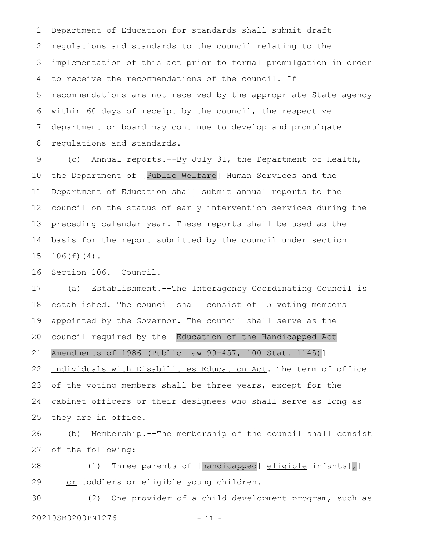Department of Education for standards shall submit draft regulations and standards to the council relating to the implementation of this act prior to formal promulgation in order to receive the recommendations of the council. If recommendations are not received by the appropriate State agency within 60 days of receipt by the council, the respective department or board may continue to develop and promulgate regulations and standards. 1 2 3 4 5 6 7 8

(c) Annual reports.--By July 31, the Department of Health, the Department of [Public Welfare] Human Services and the Department of Education shall submit annual reports to the council on the status of early intervention services during the preceding calendar year. These reports shall be used as the basis for the report submitted by the council under section 106(f)(4). 9 10 11 12 13 14 15

Section 106. Council. 16

(a) Establishment.--The Interagency Coordinating Council is established. The council shall consist of 15 voting members appointed by the Governor. The council shall serve as the council required by the [Education of the Handicapped Act Amendments of 1986 (Public Law 99-457, 100 Stat. 1145)] Individuals with Disabilities Education Act. The term of office of the voting members shall be three years, except for the cabinet officers or their designees who shall serve as long as they are in office. 17 18 19 20 21 22 23 24 25

(b) Membership.--The membership of the council shall consist of the following: 26 27

(1) Three parents of [handicapped] eligible infants[,] or toddlers or eligible young children. 28 29

(2) One provider of a child development program, such as 20210SB0200PN1276 - 11 -30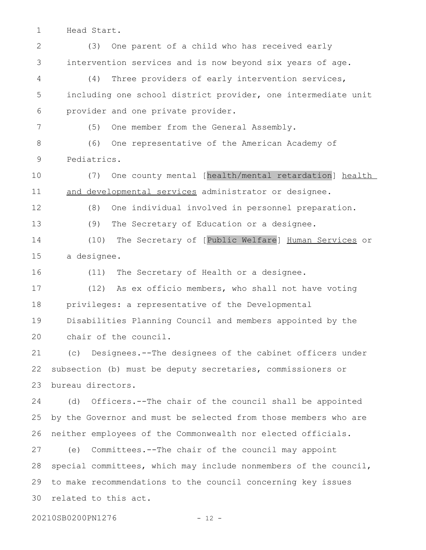Head Start. 1

(3) One parent of a child who has received early intervention services and is now beyond six years of age. (4) Three providers of early intervention services, including one school district provider, one intermediate unit provider and one private provider. (5) One member from the General Assembly. (6) One representative of the American Academy of Pediatrics. (7) One county mental [health/mental retardation] health and developmental services administrator or designee. (8) One individual involved in personnel preparation. (9) The Secretary of Education or a designee. (10) The Secretary of [Public Welfare] Human Services or a designee. (11) The Secretary of Health or a designee. (12) As ex officio members, who shall not have voting privileges: a representative of the Developmental Disabilities Planning Council and members appointed by the chair of the council. (c) Designees.--The designees of the cabinet officers under subsection (b) must be deputy secretaries, commissioners or bureau directors. (d) Officers.--The chair of the council shall be appointed by the Governor and must be selected from those members who are neither employees of the Commonwealth nor elected officials. (e) Committees.--The chair of the council may appoint special committees, which may include nonmembers of the council, to make recommendations to the council concerning key issues related to this act. 20210SB0200PN1276 - 12 -2 3 4 5 6 7 8 9 10 11 12 13 14 15 16 17 18 19 20 21 22 23 24 25 26 27 28 29 30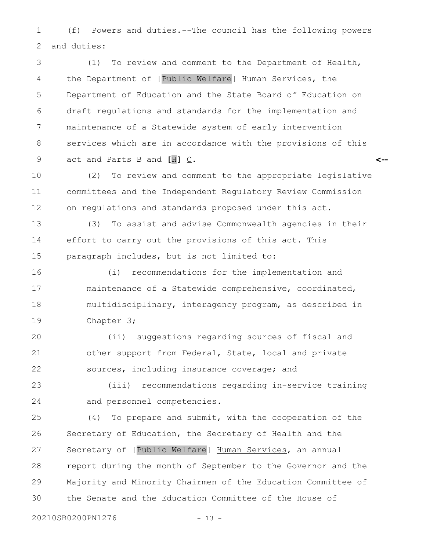(f) Powers and duties.--The council has the following powers and duties: 1 2

(1) To review and comment to the Department of Health, the Department of [Public Welfare] Human Services, the Department of Education and the State Board of Education on draft regulations and standards for the implementation and maintenance of a Statewide system of early intervention services which are in accordance with the provisions of this act and Parts B and **[**H**]** C. 3 4 5 6 7 8 9

(2) To review and comment to the appropriate legislative committees and the Independent Regulatory Review Commission on regulations and standards proposed under this act. 10 11 12

**<--**

(3) To assist and advise Commonwealth agencies in their effort to carry out the provisions of this act. This paragraph includes, but is not limited to: 13 14 15

(i) recommendations for the implementation and maintenance of a Statewide comprehensive, coordinated, multidisciplinary, interagency program, as described in Chapter 3; 16 17 18 19

(ii) suggestions regarding sources of fiscal and other support from Federal, State, local and private sources, including insurance coverage; and 20 21 22

(iii) recommendations regarding in-service training and personnel competencies. 23 24

(4) To prepare and submit, with the cooperation of the Secretary of Education, the Secretary of Health and the Secretary of [Public Welfare] Human Services, an annual report during the month of September to the Governor and the Majority and Minority Chairmen of the Education Committee of the Senate and the Education Committee of the House of 25 26 27 28 29 30

20210SB0200PN1276 - 13 -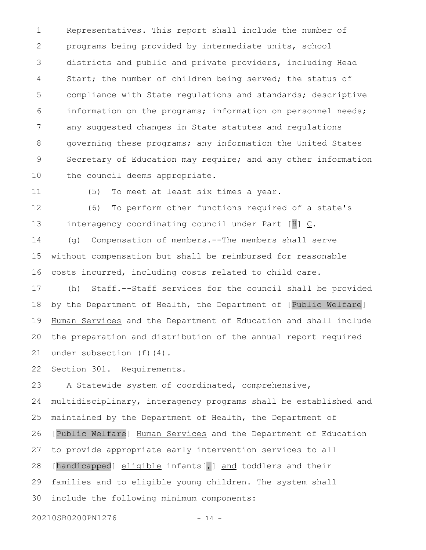Representatives. This report shall include the number of programs being provided by intermediate units, school districts and public and private providers, including Head Start; the number of children being served; the status of compliance with State regulations and standards; descriptive information on the programs; information on personnel needs; any suggested changes in State statutes and regulations governing these programs; any information the United States Secretary of Education may require; and any other information the council deems appropriate. 1 2 3 4 5 6 7 8 9 10

11

(5) To meet at least six times a year.

(6) To perform other functions required of a state's interagency coordinating council under Part  $[H] \subseteq$ . 12 13

(g) Compensation of members.--The members shall serve without compensation but shall be reimbursed for reasonable costs incurred, including costs related to child care. 14 15 16

(h) Staff.--Staff services for the council shall be provided by the Department of Health, the Department of [Public Welfare] Human Services and the Department of Education and shall include the preparation and distribution of the annual report required under subsection (f)(4). 17 18 19 20 21

Section 301. Requirements. 22

A Statewide system of coordinated, comprehensive, multidisciplinary, interagency programs shall be established and maintained by the Department of Health, the Department of [Public Welfare] Human Services and the Department of Education to provide appropriate early intervention services to all [handicapped] eligible infants[,] and toddlers and their families and to eligible young children. The system shall include the following minimum components: 23 24 25 26 27 28 29 30

20210SB0200PN1276 - 14 -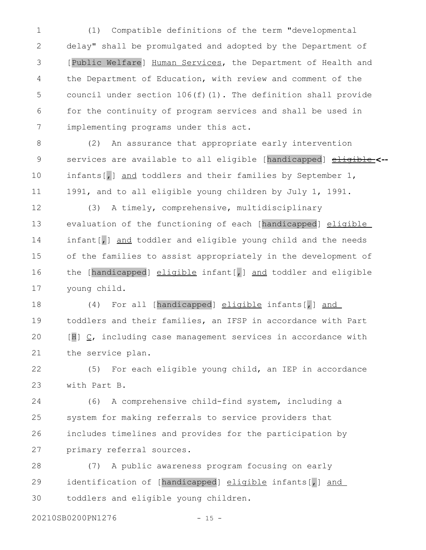(1) Compatible definitions of the term "developmental delay" shall be promulgated and adopted by the Department of [Public Welfare] Human Services, the Department of Health and the Department of Education, with review and comment of the council under section 106(f)(1). The definition shall provide for the continuity of program services and shall be used in implementing programs under this act. 1 2 3 4 5 6 7

(2) An assurance that appropriate early intervention services are available to all eligible [handicapped]  $\underline{\text{eligible}}$ <-infants[,] and toddlers and their families by September 1, 1991, and to all eligible young children by July 1, 1991. 8 9 10 11

(3) A timely, comprehensive, multidisciplinary evaluation of the functioning of each [handicapped] eligible infant[, ] and toddler and eligible young child and the needs of the families to assist appropriately in the development of the [handicapped] eligible infant[, ] and toddler and eligible young child. 12 13 14 15 16 17

(4) For all [handicapped] eligible infants[,] and toddlers and their families, an IFSP in accordance with Part [H]  $C$ , including case management services in accordance with the service plan. 18 19 20 21

(5) For each eligible young child, an IEP in accordance with Part B. 22 23

(6) A comprehensive child-find system, including a system for making referrals to service providers that includes timelines and provides for the participation by primary referral sources. 24 25 26 27

(7) A public awareness program focusing on early identification of [handicapped] eligible infants[,] and toddlers and eligible young children. 28 29 30

20210SB0200PN1276 - 15 -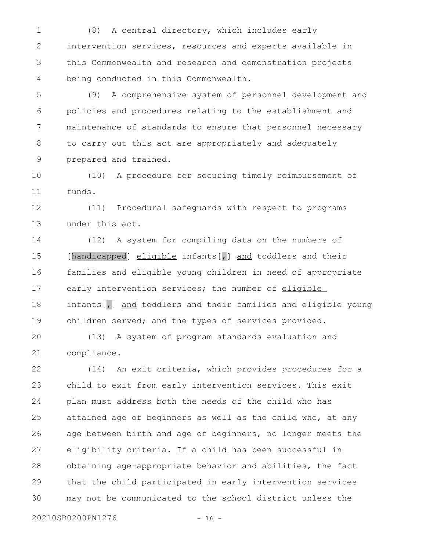(8) A central directory, which includes early intervention services, resources and experts available in this Commonwealth and research and demonstration projects being conducted in this Commonwealth. 1 2 3 4

(9) A comprehensive system of personnel development and policies and procedures relating to the establishment and maintenance of standards to ensure that personnel necessary to carry out this act are appropriately and adequately prepared and trained. 5 6 7 8 9

(10) A procedure for securing timely reimbursement of funds. 10 11

(11) Procedural safeguards with respect to programs under this act. 12 13

(12) A system for compiling data on the numbers of [handicapped] eligible infants[,] and toddlers and their families and eligible young children in need of appropriate early intervention services; the number of eligible infants[,] and toddlers and their families and eligible young children served; and the types of services provided. 14 15 16 17 18 19

(13) A system of program standards evaluation and compliance. 20 21

(14) An exit criteria, which provides procedures for a child to exit from early intervention services. This exit plan must address both the needs of the child who has attained age of beginners as well as the child who, at any age between birth and age of beginners, no longer meets the eligibility criteria. If a child has been successful in obtaining age-appropriate behavior and abilities, the fact that the child participated in early intervention services may not be communicated to the school district unless the 22 23 24 25 26 27 28 29 30

20210SB0200PN1276 - 16 -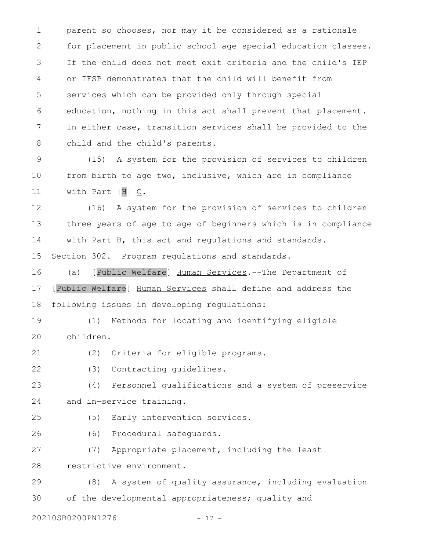parent so chooses, nor may it be considered as a rationale for placement in public school age special education classes. If the child does not meet exit criteria and the child's IEP or IFSP demonstrates that the child will benefit from services which can be provided only through special education, nothing in this act shall prevent that placement. In either case, transition services shall be provided to the child and the child's parents. 1 2 3 4 5 6 7 8

(15) A system for the provision of services to children from birth to age two, inclusive, which are in compliance with Part [H] C. 9 10 11

(16) A system for the provision of services to children three years of age to age of beginners which is in compliance with Part B, this act and regulations and standards. Section 302. Program regulations and standards. 12 13 14 15

(a) [Public Welfare] Human Services.--The Department of [Public Welfare] Human Services shall define and address the following issues in developing regulations: 16 17 18

(1) Methods for locating and identifying eligible children. 19 20

(2) Criteria for eligible programs. 21

(3) Contracting guidelines. 22

(4) Personnel qualifications and a system of preservice and in-service training. 23 24

(5) Early intervention services. 25

(6) Procedural safeguards. 26

(7) Appropriate placement, including the least restrictive environment. 27 28

(8) A system of quality assurance, including evaluation of the developmental appropriateness; quality and 29 30

20210SB0200PN1276 - 17 -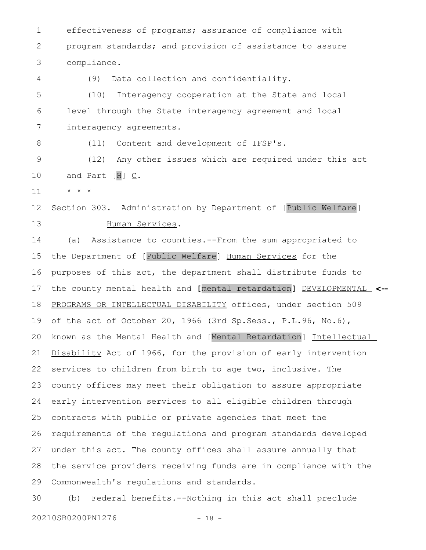effectiveness of programs; assurance of compliance with program standards; and provision of assistance to assure compliance. 1 2 3

(9) Data collection and confidentiality. (10) Interagency cooperation at the State and local level through the State interagency agreement and local interagency agreements. 5 6 7

(11) Content and development of IFSP's.

(12) Any other issues which are required under this act and Part  $[H] \subseteq$ . 9 10

\* \* \* 11

4

8

Section 303. Administration by Department of [Public Welfare] Human Services. 12 13

(a) Assistance to counties.--From the sum appropriated to the Department of [Public Welfare] Human Services for the purposes of this act, the department shall distribute funds to the county mental health and **[**mental retardation**]** DEVELOPMENTAL **<--** PROGRAMS OR INTELLECTUAL DISABILITY offices, under section 509 of the act of October 20, 1966 (3rd Sp.Sess., P.L.96, No.6), known as the Mental Health and [Mental Retardation] Intellectual Disability Act of 1966, for the provision of early intervention services to children from birth to age two, inclusive. The county offices may meet their obligation to assure appropriate early intervention services to all eligible children through contracts with public or private agencies that meet the requirements of the regulations and program standards developed under this act. The county offices shall assure annually that the service providers receiving funds are in compliance with the Commonwealth's regulations and standards. 14 15 16 17 18 19 20 21 22 23 24 25 26 27 28 29

(b) Federal benefits.--Nothing in this act shall preclude 20210SB0200PN1276 - 18 -30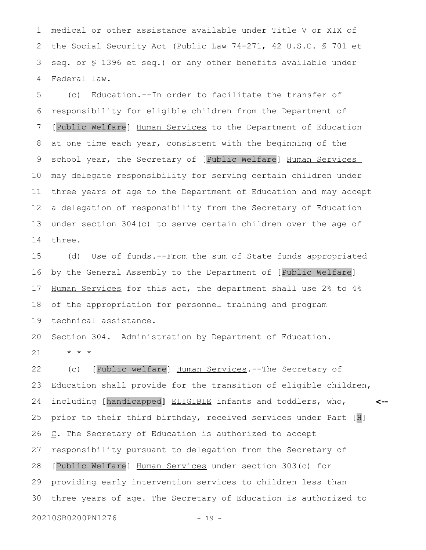medical or other assistance available under Title V or XIX of the Social Security Act (Public Law 74-271, 42 U.S.C. § 701 et seq. or § 1396 et seq.) or any other benefits available under Federal law. 1 2 3 4

(c) Education.--In order to facilitate the transfer of responsibility for eligible children from the Department of [Public Welfare] Human Services to the Department of Education at one time each year, consistent with the beginning of the school year, the Secretary of [Public Welfare] Human Services may delegate responsibility for serving certain children under three years of age to the Department of Education and may accept a delegation of responsibility from the Secretary of Education under section 304(c) to serve certain children over the age of three. 5 6 7 8 9 10 11 12 13 14

(d) Use of funds.--From the sum of State funds appropriated by the General Assembly to the Department of [Public Welfare] Human Services for this act, the department shall use 2% to 4% of the appropriation for personnel training and program technical assistance. 15 16 17 18 19

Section 304. Administration by Department of Education. \* \* \* 20 21

(c) [Public welfare] Human Services.--The Secretary of Education shall provide for the transition of eligible children, including **[**handicapped**]** ELIGIBLE infants and toddlers, who, prior to their third birthday, received services under Part [H] C. The Secretary of Education is authorized to accept responsibility pursuant to delegation from the Secretary of [Public Welfare] Human Services under section 303(c) for providing early intervention services to children less than three years of age. The Secretary of Education is authorized to **<--** 22 23 24 25 26 27 28 29 30

20210SB0200PN1276 - 19 -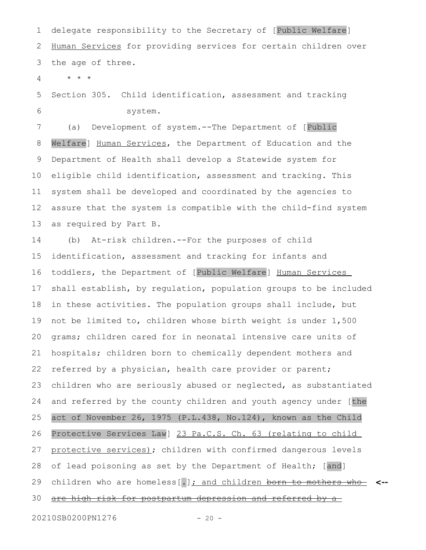delegate responsibility to the Secretary of [Public Welfare] Human Services for providing services for certain children over the age of three. 1 2 3

\* \* \* 4

Section 305. Child identification, assessment and tracking system. 5 6

(a) Development of system.--The Department of [Public Welfare] Human Services, the Department of Education and the Department of Health shall develop a Statewide system for eligible child identification, assessment and tracking. This system shall be developed and coordinated by the agencies to assure that the system is compatible with the child-find system as required by Part B. 7 8 9 10 11 12 13

(b) At-risk children.--For the purposes of child identification, assessment and tracking for infants and toddlers, the Department of [Public Welfare] Human Services shall establish, by regulation, population groups to be included in these activities. The population groups shall include, but not be limited to, children whose birth weight is under 1,500 grams; children cared for in neonatal intensive care units of hospitals; children born to chemically dependent mothers and referred by a physician, health care provider or parent; children who are seriously abused or neglected, as substantiated and referred by the county children and youth agency under [the act of November 26, 1975 (P.L.438, No.124), known as the Child Protective Services Law] 23 Pa.C.S. Ch. 63 (relating to child protective services); children with confirmed dangerous levels of lead poisoning as set by the Department of Health; [and] children who are homeless[.] ; and children born to mothers who **<-** are high risk for postpartum depression and referred by a 14 15 16 17 18 19 20 21 22 23 24 25 26 27 28 29 30

20210SB0200PN1276 - 20 -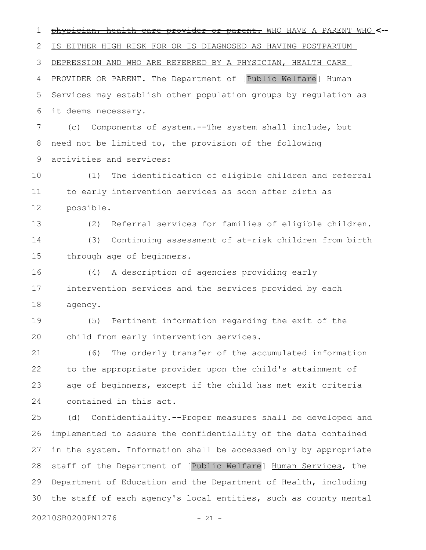physician, health care provider or parent. WHO HAVE A PARENT WHO 1 **<--** IS EITHER HIGH RISK FOR OR IS DIAGNOSED AS HAVING POSTPARTUM DEPRESSION AND WHO ARE REFERRED BY A PHYSICIAN, HEALTH CARE PROVIDER OR PARENT. The Department of [Public Welfare] Human Services may establish other population groups by regulation as it deems necessary. (c) Components of system.--The system shall include, but need not be limited to, the provision of the following activities and services: (1) The identification of eligible children and referral to early intervention services as soon after birth as possible. (2) Referral services for families of eligible children. (3) Continuing assessment of at-risk children from birth through age of beginners. (4) A description of agencies providing early intervention services and the services provided by each agency. (5) Pertinent information regarding the exit of the child from early intervention services. (6) The orderly transfer of the accumulated information to the appropriate provider upon the child's attainment of age of beginners, except if the child has met exit criteria contained in this act. (d) Confidentiality.--Proper measures shall be developed and implemented to assure the confidentiality of the data contained in the system. Information shall be accessed only by appropriate staff of the Department of [Public Welfare] Human Services, the Department of Education and the Department of Health, including the staff of each agency's local entities, such as county mental 20210SB0200PN1276 - 21 -2 3 4 5 6 7 8 9 10 11 12 13 14 15 16 17 18 19 20 21 22 23 24 25 26 27 28 29 30